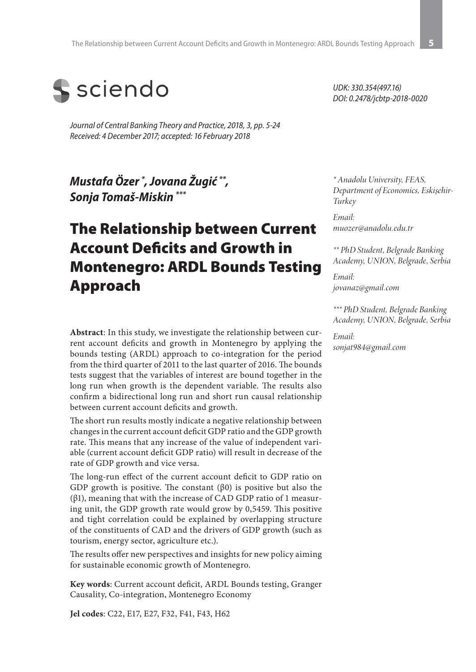

*Journal of Central Banking Theory and Practice, 2018, 3, pp. 5-24 Received: 4 December 2017; accepted: 16 February 2018*

*Mustafa Özer \* , Jovana Žugić \*\*, Sonja Tomaš-Miskin \*\*\**

# The Relationship between Current Account Deficits and Growth in Montenegro: ARDL Bounds Testing Approach

**Abstract**: In this study, we investigate the relationship between current account deficits and growth in Montenegro by applying the bounds testing (ARDL) approach to co-integration for the period from the third quarter of 2011 to the last quarter of 2016. The bounds tests suggest that the variables of interest are bound together in the long run when growth is the dependent variable. The results also confirm a bidirectional long run and short run causal relationship between current account deficits and growth.

The short run results mostly indicate a negative relationship between changes in the current account deficit GDP ratio and the GDP growth rate. This means that any increase of the value of independent variable (current account deficit GDP ratio) will result in decrease of the rate of GDP growth and vice versa.

The long-run effect of the current account deficit to GDP ratio on GDP growth is positive. The constant  $(\beta 0)$  is positive but also the (β1), meaning that with the increase of CAD GDP ratio of 1 measuring unit, the GDP growth rate would grow by 0,5459. This positive and tight correlation could be explained by overlapping structure of the constituents of CAD and the drivers of GDP growth (such as tourism, energy sector, agriculture etc.).

The results offer new perspectives and insights for new policy aiming for sustainable economic growth of Montenegro.

**Key words**: Current account deficit, ARDL Bounds testing, Granger Causality, Co-integration, Montenegro Economy

**Jel codes**: C22, E17, E27, F32, F41, F43, H62

*UDK: 330.354(497.16) DOI: 0.2478/jcbtp-2018-0020*

*\* Anadolu University, FEAS, Department of Economics, Eskişehir-Turkey*

*Email: muozer@anadolu.edu.tr*

*\*\* PhD Student, Belgrade Banking Academy, UNION, Belgrade, Serbia* 

*Email: jovanaz@gmail.com*

*\*\*\* PhD Student, Belgrade Banking Academy, UNION, Belgrade, Serbia* 

*Email: sonjat984@gmail.com*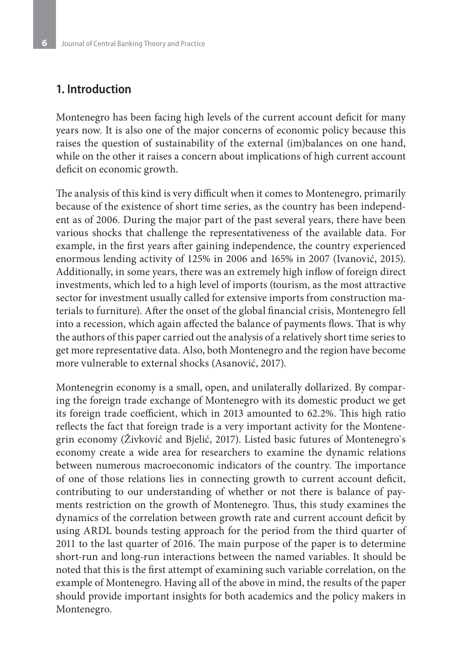#### **1. Introduction**

Montenegro has been facing high levels of the current account deficit for many years now. It is also one of the major concerns of economic policy because this raises the question of sustainability of the external (im)balances on one hand, while on the other it raises a concern about implications of high current account deficit on economic growth.

The analysis of this kind is very difficult when it comes to Montenegro, primarily because of the existence of short time series, as the country has been independent as of 2006. During the major part of the past several years, there have been various shocks that challenge the representativeness of the available data. For example, in the first years after gaining independence, the country experienced enormous lending activity of 125% in 2006 and 165% in 2007 (Ivanović, 2015). Additionally, in some years, there was an extremely high inflow of foreign direct investments, which led to a high level of imports (tourism, as the most attractive sector for investment usually called for extensive imports from construction materials to furniture). After the onset of the global financial crisis, Montenegro fell into a recession, which again affected the balance of payments flows. That is why the authors of this paper carried out the analysis of a relatively short time series to get more representative data. Also, both Montenegro and the region have become more vulnerable to external shocks (Asanović, 2017).

Montenegrin economy is a small, open, and unilaterally dollarized. By comparing the foreign trade exchange of Montenegro with its domestic product we get its foreign trade coefficient, which in 2013 amounted to 62.2%. This high ratio reflects the fact that foreign trade is a very important activity for the Montenegrin economy (Živković and Bjelić, 2017). Listed basic futures of Montenegro`s economy create a wide area for researchers to examine the dynamic relations between numerous macroeconomic indicators of the country. The importance of one of those relations lies in connecting growth to current account deficit, contributing to our understanding of whether or not there is balance of payments restriction on the growth of Montenegro. Thus, this study examines the dynamics of the correlation between growth rate and current account deficit by using ARDL bounds testing approach for the period from the third quarter of 2011 to the last quarter of 2016. The main purpose of the paper is to determine short-run and long-run interactions between the named variables. It should be noted that this is the first attempt of examining such variable correlation, on the example of Montenegro. Having all of the above in mind, the results of the paper should provide important insights for both academics and the policy makers in Montenegro.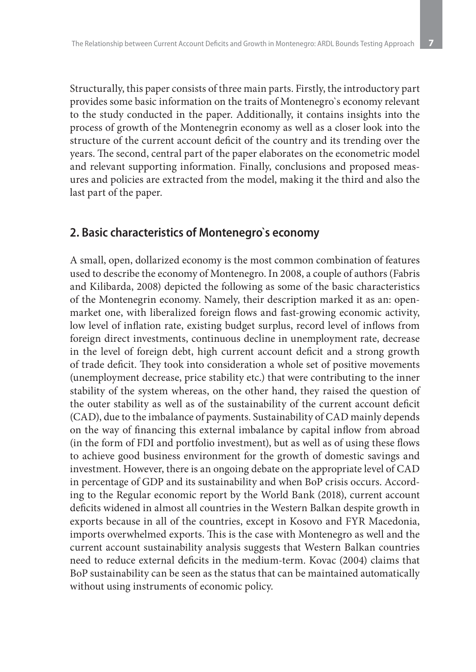Structurally, this paper consists of three main parts. Firstly, the introductory part provides some basic information on the traits of Montenegro`s economy relevant to the study conducted in the paper. Additionally, it contains insights into the process of growth of the Montenegrin economy as well as a closer look into the structure of the current account deficit of the country and its trending over the years. The second, central part of the paper elaborates on the econometric model and relevant supporting information. Finally, conclusions and proposed measures and policies are extracted from the model, making it the third and also the last part of the paper.

### **2. Basic characteristics of Montenegro`s economy**

A small, open, dollarized economy is the most common combination of features used to describe the economy of Montenegro. In 2008, a couple of authors (Fabris and Kilibarda, 2008) depicted the following as some of the basic characteristics of the Montenegrin economy. Namely, their description marked it as an: openmarket one, with liberalized foreign flows and fast-growing economic activity, low level of inflation rate, existing budget surplus, record level of inflows from foreign direct investments, continuous decline in unemployment rate, decrease in the level of foreign debt, high current account deficit and a strong growth of trade deficit. They took into consideration a whole set of positive movements (unemployment decrease, price stability etc.) that were contributing to the inner stability of the system whereas, on the other hand, they raised the question of the outer stability as well as of the sustainability of the current account deficit (CAD), due to the imbalance of payments. Sustainability of CAD mainly depends on the way of financing this external imbalance by capital inflow from abroad (in the form of FDI and portfolio investment), but as well as of using these flows to achieve good business environment for the growth of domestic savings and investment. However, there is an ongoing debate on the appropriate level of CAD in percentage of GDP and its sustainability and when BoP crisis occurs. According to the Regular economic report by the World Bank (2018), current account deficits widened in almost all countries in the Western Balkan despite growth in exports because in all of the countries, except in Kosovo and FYR Macedonia, imports overwhelmed exports. This is the case with Montenegro as well and the current account sustainability analysis suggests that Western Balkan countries need to reduce external deficits in the medium-term. Kovac (2004) claims that BoP sustainability can be seen as the status that can be maintained automatically without using instruments of economic policy.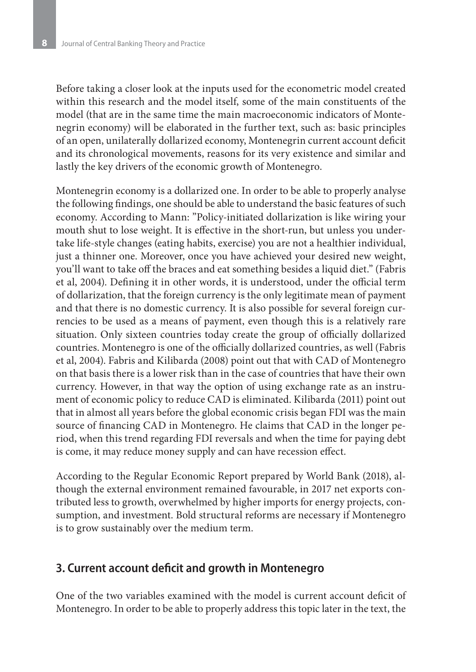Before taking a closer look at the inputs used for the econometric model created within this research and the model itself, some of the main constituents of the model (that are in the same time the main macroeconomic indicators of Montenegrin economy) will be elaborated in the further text, such as: basic principles of an open, unilaterally dollarized economy, Montenegrin current account deficit and its chronological movements, reasons for its very existence and similar and lastly the key drivers of the economic growth of Montenegro.

Montenegrin economy is a dollarized one. In order to be able to properly analyse the following findings, one should be able to understand the basic features of such economy. According to Mann: "Policy-initiated dollarization is like wiring your mouth shut to lose weight. It is effective in the short-run, but unless you undertake life-style changes (eating habits, exercise) you are not a healthier individual, just a thinner one. Moreover, once you have achieved your desired new weight, you'll want to take off the braces and eat something besides a liquid diet." (Fabris et al, 2004). Defining it in other words, it is understood, under the official term of dollarization, that the foreign currency is the only legitimate mean of payment and that there is no domestic currency. It is also possible for several foreign currencies to be used as a means of payment, even though this is a relatively rare situation. Only sixteen countries today create the group of officially dollarized countries. Montenegro is one of the officially dollarized countries, as well (Fabris et al, 2004). Fabris and Kilibarda (2008) point out that with CAD of Montenegro on that basis there is a lower risk than in the case of countries that have their own currency. However, in that way the option of using exchange rate as an instrument of economic policy to reduce CAD is eliminated. Kilibarda (2011) point out that in almost all years before the global economic crisis began FDI was the main source of financing CAD in Montenegro. He claims that CAD in the longer period, when this trend regarding FDI reversals and when the time for paying debt is come, it may reduce money supply and can have recession effect.

According to the Regular Economic Report prepared by World Bank (2018), although the external environment remained favourable, in 2017 net exports contributed less to growth, overwhelmed by higher imports for energy projects, consumption, and investment. Bold structural reforms are necessary if Montenegro is to grow sustainably over the medium term.

#### **3. Current account deficit and growth in Montenegro**

One of the two variables examined with the model is current account deficit of Montenegro. In order to be able to properly address this topic later in the text, the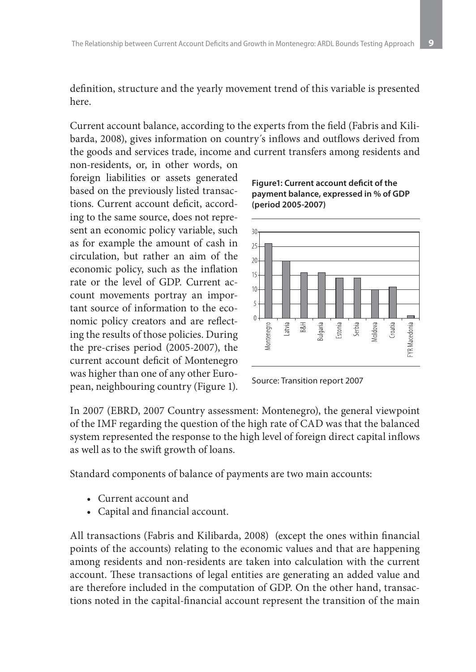definition, structure and the yearly movement trend of this variable is presented here.

Current account balance, according to the experts from the field (Fabris and Kilibarda, 2008), gives information on country´s inflows and outflows derived from the goods and services trade, income and current transfers among residents and non-residents, or, in other words, on

foreign liabilities or assets generated based on the previously listed transactions. Current account deficit, according to the same source, does not represent an economic policy variable, such as for example the amount of cash in circulation, but rather an aim of the economic policy, such as the inflation rate or the level of GDP. Current account movements portray an important source of information to the economic policy creators and are reflecting the results of those policies. During the pre-crises period (2005-2007), the current account deficit of Montenegro was higher than one of any other European, neighbouring country (Figure 1).

**Figure1: Current account deficit of the payment balance, expressed in % of GDP (period 2005-2007)**



Source: Transition report 2007

In 2007 (EBRD, 2007 Country assessment: Montenegro), the general viewpoint of the IMF regarding the question of the high rate of CAD was that the balanced system represented the response to the high level of foreign direct capital inflows as well as to the swift growth of loans.

Standard components of balance of payments are two main accounts:

- • Current account and
- • Capital and financial account.

All transactions (Fabris and Kilibarda, 2008) (except the ones within financial points of the accounts) relating to the economic values and that are happening among residents and non-residents are taken into calculation with the current account. These transactions of legal entities are generating an added value and are therefore included in the computation of GDP. On the other hand, transactions noted in the capital-financial account represent the transition of the main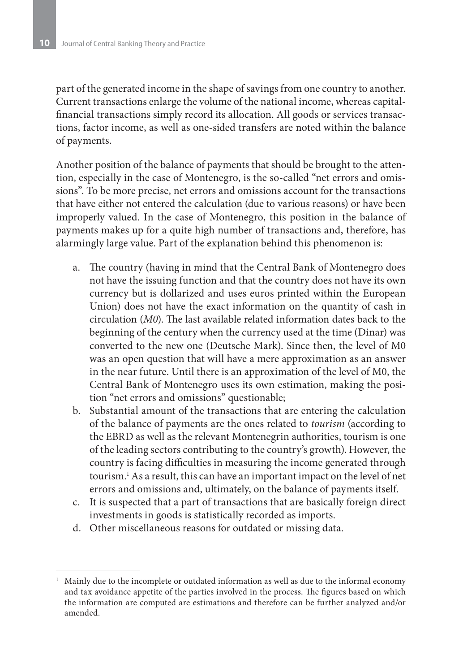part of the generated income in the shape of savings from one country to another. Current transactions enlarge the volume of the national income, whereas capitalfinancial transactions simply record its allocation. All goods or services transactions, factor income, as well as one-sided transfers are noted within the balance of payments.

Another position of the balance of payments that should be brought to the attention, especially in the case of Montenegro, is the so-called "net errors and omissions". To be more precise, net errors and omissions account for the transactions that have either not entered the calculation (due to various reasons) or have been improperly valued. In the case of Montenegro, this position in the balance of payments makes up for a quite high number of transactions and, therefore, has alarmingly large value. Part of the explanation behind this phenomenon is:

- a. The country (having in mind that the Central Bank of Montenegro does not have the issuing function and that the country does not have its own currency but is dollarized and uses euros printed within the European Union) does not have the exact information on the quantity of cash in circulation (*M0*). The last available related information dates back to the beginning of the century when the currency used at the time (Dinar) was converted to the new one (Deutsche Mark). Since then, the level of M0 was an open question that will have a mere approximation as an answer in the near future. Until there is an approximation of the level of M0, the Central Bank of Montenegro uses its own estimation, making the position "net errors and omissions" questionable;
- b. Substantial amount of the transactions that are entering the calculation of the balance of payments are the ones related to *tourism* (according to the EBRD as well as the relevant Montenegrin authorities, tourism is one of the leading sectors contributing to the country's growth). However, the country is facing difficulties in measuring the income generated through tourism.1 As a result, this can have an important impact on the level of net errors and omissions and, ultimately, on the balance of payments itself.
- c. It is suspected that a part of transactions that are basically foreign direct investments in goods is statistically recorded as imports.
- d. Other miscellaneous reasons for outdated or missing data.

<sup>1</sup> Mainly due to the incomplete or outdated information as well as due to the informal economy and tax avoidance appetite of the parties involved in the process. The figures based on which the information are computed are estimations and therefore can be further analyzed and/or amended.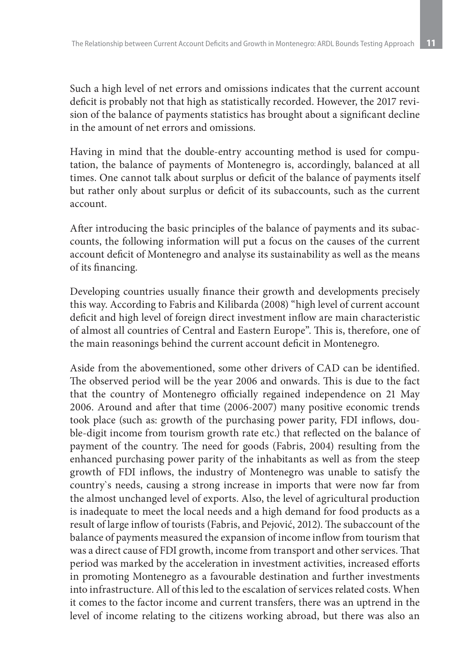Such a high level of net errors and omissions indicates that the current account deficit is probably not that high as statistically recorded. However, the 2017 revision of the balance of payments statistics has brought about a significant decline in the amount of net errors and omissions.

Having in mind that the double-entry accounting method is used for computation, the balance of payments of Montenegro is, accordingly, balanced at all times. One cannot talk about surplus or deficit of the balance of payments itself but rather only about surplus or deficit of its subaccounts, such as the current account.

After introducing the basic principles of the balance of payments and its subaccounts, the following information will put a focus on the causes of the current account deficit of Montenegro and analyse its sustainability as well as the means of its financing.

Developing countries usually finance their growth and developments precisely this way. According to Fabris and Kilibarda (2008) "high level of current account deficit and high level of foreign direct investment inflow are main characteristic of almost all countries of Central and Eastern Europe". This is, therefore, one of the main reasonings behind the current account deficit in Montenegro.

Aside from the abovementioned, some other drivers of CAD can be identified. The observed period will be the year 2006 and onwards. This is due to the fact that the country of Montenegro officially regained independence on 21 May 2006. Around and after that time (2006-2007) many positive economic trends took place (such as: growth of the purchasing power parity, FDI inflows, double-digit income from tourism growth rate etc.) that reflected on the balance of payment of the country. The need for goods (Fabris, 2004) resulting from the enhanced purchasing power parity of the inhabitants as well as from the steep growth of FDI inflows, the industry of Montenegro was unable to satisfy the country`s needs, causing a strong increase in imports that were now far from the almost unchanged level of exports. Also, the level of agricultural production is inadequate to meet the local needs and a high demand for food products as a result of large inflow of tourists (Fabris, and Pejović, 2012). The subaccount of the balance of payments measured the expansion of income inflow from tourism that was a direct cause of FDI growth, income from transport and other services. That period was marked by the acceleration in investment activities, increased efforts in promoting Montenegro as a favourable destination and further investments into infrastructure. All of this led to the escalation of services related costs. When it comes to the factor income and current transfers, there was an uptrend in the level of income relating to the citizens working abroad, but there was also an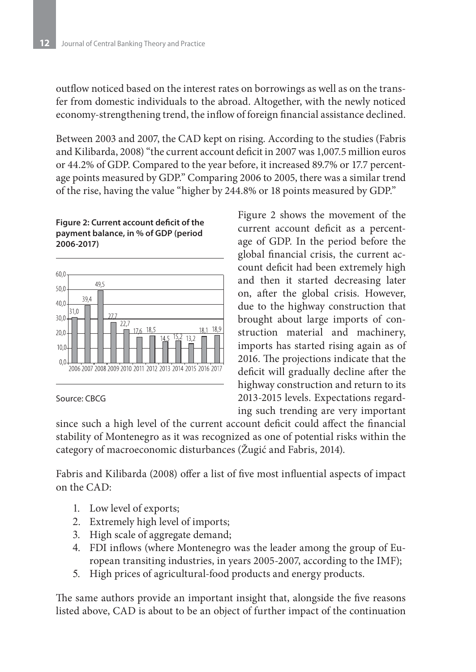outflow noticed based on the interest rates on borrowings as well as on the transfer from domestic individuals to the abroad. Altogether, with the newly noticed economy-strengthening trend, the inflow of foreign financial assistance declined.

Between 2003 and 2007, the CAD kept on rising. According to the studies (Fabris and Kilibarda, 2008) "the current account deficit in 2007 was 1,007.5 million euros or 44.2% of GDP. Compared to the year before, it increased 89.7% or 17.7 percentage points measured by GDP." Comparing 2006 to 2005, there was a similar trend of the rise, having the value "higher by 244.8% or 18 points measured by GDP."

#### **Figure 2: Current account deficit of the payment balance, in % of GDP (period 2006-2017)**



#### Source: CBCG

Figure 2 shows the movement of the current account deficit as a percentage of GDP. In the period before the global financial crisis, the current account deficit had been extremely high and then it started decreasing later on, after the global crisis. However, due to the highway construction that brought about large imports of construction material and machinery, imports has started rising again as of 2016. The projections indicate that the deficit will gradually decline after the highway construction and return to its 2013-2015 levels. Expectations regarding such trending are very important

since such a high level of the current account deficit could affect the financial stability of Montenegro as it was recognized as one of potential risks within the category of macroeconomic disturbances (Žugić and Fabris, 2014).

Fabris and Kilibarda (2008) offer a list of five most influential aspects of impact on the CAD:

- 1. Low level of exports;
- 2. Extremely high level of imports;
- 3. High scale of aggregate demand;
- 4. FDI inflows (where Montenegro was the leader among the group of European transiting industries, in years 2005-2007, according to the IMF);
- 5. High prices of agricultural-food products and energy products.

The same authors provide an important insight that, alongside the five reasons listed above, CAD is about to be an object of further impact of the continuation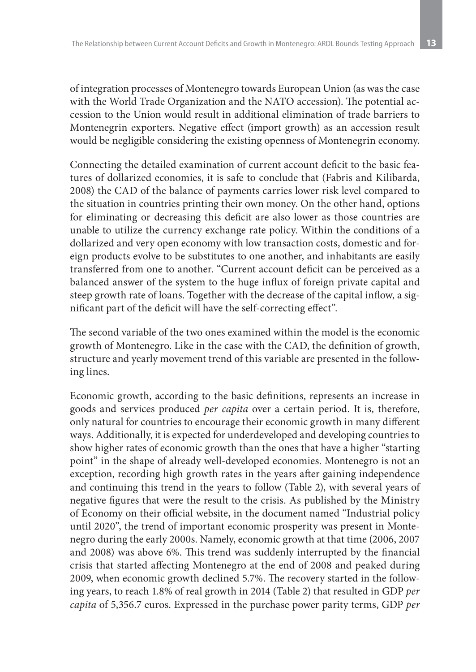of integration processes of Montenegro towards European Union (as was the case with the World Trade Organization and the NATO accession). The potential accession to the Union would result in additional elimination of trade barriers to Montenegrin exporters. Negative effect (import growth) as an accession result would be negligible considering the existing openness of Montenegrin economy.

Connecting the detailed examination of current account deficit to the basic features of dollarized economies, it is safe to conclude that (Fabris and Kilibarda, 2008) the CAD of the balance of payments carries lower risk level compared to the situation in countries printing their own money. On the other hand, options for eliminating or decreasing this deficit are also lower as those countries are unable to utilize the currency exchange rate policy. Within the conditions of a dollarized and very open economy with low transaction costs, domestic and foreign products evolve to be substitutes to one another, and inhabitants are easily transferred from one to another. "Current account deficit can be perceived as a balanced answer of the system to the huge influx of foreign private capital and steep growth rate of loans. Together with the decrease of the capital inflow, a significant part of the deficit will have the self-correcting effect".

The second variable of the two ones examined within the model is the economic growth of Montenegro. Like in the case with the CAD, the definition of growth, structure and yearly movement trend of this variable are presented in the following lines.

Economic growth, according to the basic definitions, represents an increase in goods and services produced *per capita* over a certain period. It is, therefore, only natural for countries to encourage their economic growth in many different ways. Additionally, it is expected for underdeveloped and developing countries to show higher rates of economic growth than the ones that have a higher "starting point" in the shape of already well-developed economies. Montenegro is not an exception, recording high growth rates in the years after gaining independence and continuing this trend in the years to follow (Table 2), with several years of negative figures that were the result to the crisis. As published by the Ministry of Economy on their official website, in the document named "Industrial policy until 2020", the trend of important economic prosperity was present in Montenegro during the early 2000s. Namely, economic growth at that time (2006, 2007 and 2008) was above 6%. This trend was suddenly interrupted by the financial crisis that started affecting Montenegro at the end of 2008 and peaked during 2009, when economic growth declined 5.7%. The recovery started in the following years, to reach 1.8% of real growth in 2014 (Table 2) that resulted in GDP *per capita* of 5,356.7 euros. Expressed in the purchase power parity terms, GDP *per*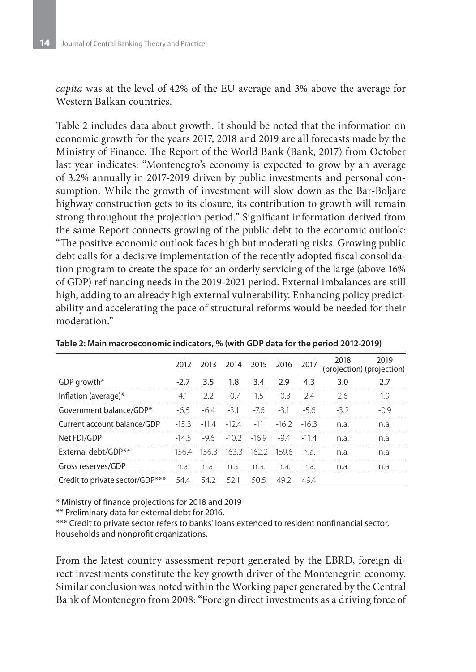*capita* was at the level of 42% of the EU average and 3% above the average for Western Balkan countries.

Table 2 includes data about growth. It should be noted that the information on economic growth for the years 2017, 2018 and 2019 are all forecasts made by the Ministry of Finance. The Report of the World Bank (Bank, 2017) from October last year indicates: "Montenegro's economy is expected to grow by an average of 3.2% annually in 2017-2019 driven by public investments and personal consumption. While the growth of investment will slow down as the Bar-Boljare highway construction gets to its closure, its contribution to growth will remain strong throughout the projection period." Significant information derived from the same Report connects growing of the public debt to the economic outlook: "The positive economic outlook faces high but moderating risks. Growing public debt calls for a decisive implementation of the recently adopted fiscal consolidation program to create the space for an orderly servicing of the large (above 16% of GDP) refinancing needs in the 2019-2021 period. External imbalances are still high, adding to an already high external vulnerability. Enhancing policy predictability and accelerating the pace of structural reforms would be needed for their moderation."

|                                 | 2012   | 2013    | 2014                          | 2015 2016 |         | 2017   | 2018  | 2019<br>(projection) (projection) |
|---------------------------------|--------|---------|-------------------------------|-----------|---------|--------|-------|-----------------------------------|
| GDP growth*                     | $-2.7$ | 3.5     | 1.8                           | 3.4       | 2.9     | 4.3    | 3.0   | 2.7                               |
| Inflation (average)*            | 4.1    | フフ      | $-07$                         | 15        | $-03$   | 24     | 2.6   | 1.9                               |
| Government balance/GDP*         | $-65$  | $-64$   | $-31$                         | $-76$     | $-31$   | $-5.6$ | $-32$ | $-09$                             |
| Current account balance/GDP     | $-153$ | $-114$  | $-12.4$                       | $-11$     | $-16.2$ | $-163$ | n.a.  | n.a.                              |
| Net FDI/GDP                     | $-145$ |         | $-9.6$ $-10.2$ $-16.9$ $-9.4$ |           |         | $-114$ | n.a.  | n.a.                              |
| External debt/GDP**             | 156.4  | - 156.3 | 1633                          | - 162.2   | -1596   | n a    | n.a.  | n.a.                              |
| Gross reserves/GDP              | n.a.   | n.a.    | n.a.                          | n.a.      | n.a.    | n.a.   | n.a.  | n.a.                              |
| Credit to private sector/GDP*** | 54.4   | 542     | 521                           | 50.5      | 49 2    | 494    |       |                                   |

**Table 2: Main macroeconomic indicators, % (with GDP data for the period 2012-2019)**

\* Ministry of finance projections for 2018 and 2019

\*\* Preliminary data for external debt for 2016.

\*\*\* Credit to private sector refers to banks' loans extended to resident nonfinancial sector, households and nonprofit organizations.

From the latest country assessment report generated by the EBRD, foreign direct investments constitute the key growth driver of the Montenegrin economy. Similar conclusion was noted within the Working paper generated by the Central Bank of Montenegro from 2008: "Foreign direct investments as a driving force of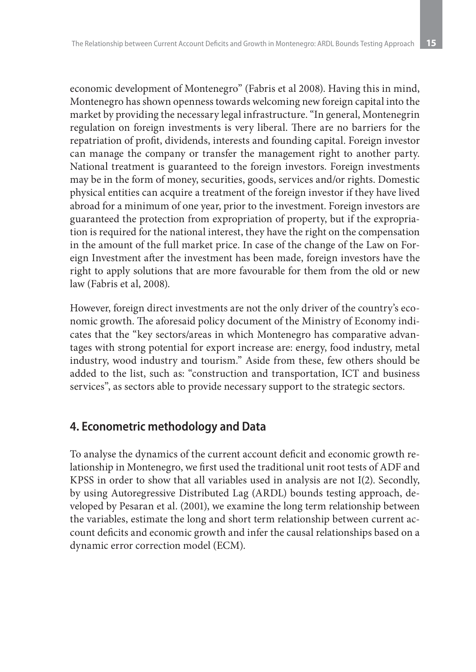economic development of Montenegro" (Fabris et al 2008). Having this in mind, Montenegro has shown openness towards welcoming new foreign capital into the market by providing the necessary legal infrastructure. "In general, Montenegrin regulation on foreign investments is very liberal. There are no barriers for the repatriation of profit, dividends, interests and founding capital. Foreign investor can manage the company or transfer the management right to another party. National treatment is guaranteed to the foreign investors. Foreign investments may be in the form of money, securities, goods, services and/or rights. Domestic physical entities can acquire a treatment of the foreign investor if they have lived abroad for a minimum of one year, prior to the investment. Foreign investors are guaranteed the protection from expropriation of property, but if the expropriation is required for the national interest, they have the right on the compensation in the amount of the full market price. In case of the change of the Law on Foreign Investment after the investment has been made, foreign investors have the right to apply solutions that are more favourable for them from the old or new law (Fabris et al, 2008).

However, foreign direct investments are not the only driver of the country's economic growth. The aforesaid policy document of the Ministry of Economy indicates that the "key sectors/areas in which Montenegro has comparative advantages with strong potential for export increase are: energy, food industry, metal industry, wood industry and tourism." Aside from these, few others should be added to the list, such as: "construction and transportation, ICT and business services", as sectors able to provide necessary support to the strategic sectors.

## **4. Econometric methodology and Data**

To analyse the dynamics of the current account deficit and economic growth relationship in Montenegro, we first used the traditional unit root tests of ADF and KPSS in order to show that all variables used in analysis are not I(2). Secondly, by using Autoregressive Distributed Lag (ARDL) bounds testing approach, developed by Pesaran et al. (2001), we examine the long term relationship between the variables, estimate the long and short term relationship between current account deficits and economic growth and infer the causal relationships based on a dynamic error correction model (ECM).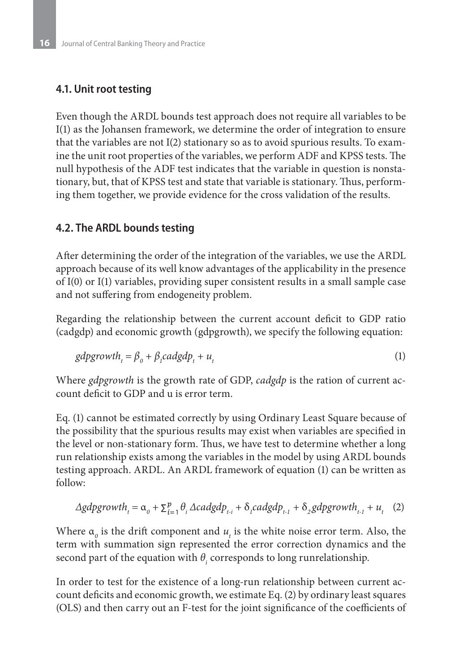### **4.1. Unit root testing**

Even though the ARDL bounds test approach does not require all variables to be I(1) as the Johansen framework, we determine the order of integration to ensure that the variables are not I(2) stationary so as to avoid spurious results. To examine the unit root properties of the variables, we perform ADF and KPSS tests. The null hypothesis of the ADF test indicates that the variable in question is nonstationary, but, that of KPSS test and state that variable is stationary. Thus, performing them together, we provide evidence for the cross validation of the results.

### **4.2. The ARDL bounds testing**

After determining the order of the integration of the variables, we use the ARDL approach because of its well know advantages of the applicability in the presence of I(0) or I(1) variables, providing super consistent results in a small sample case and not suffering from endogeneity problem.

Regarding the relationship between the current account deficit to GDP ratio (cadgdp) and economic growth (gdpgrowth), we specify the following equation:

$$
gdpgrowth_t = \beta_0 + \beta_1 cadgdp_t + u_t
$$
 (1)

Where *gdpgrowth* is the growth rate of GDP, *cadgdp* is the ration of current account deficit to GDP and u is error term.

Eq. (1) cannot be estimated correctly by using Ordinary Least Square because of the possibility that the spurious results may exist when variables are specified in the level or non-stationary form. Thus, we have test to determine whether a long run relationship exists among the variables in the model by using ARDL bounds testing approach. ARDL. An ARDL framework of equation (1) can be written as follow:

$$
\Delta gdpgrowth_{t} = \alpha_{0} + \sum_{i=1}^{p} \theta_{i} \Delta cadgdp_{t-i} + \delta_{i} cadgdp_{t-1} + \delta_{i} gdpgrowth_{t-1} + u_{t} \quad (2)
$$

Where  $\alpha_o$  is the drift component and  $u_t$  is the white noise error term. Also, the term with summation sign represented the error correction dynamics and the second part of the equation with  $\theta_i$  corresponds to long runrelationship.

In order to test for the existence of a long-run relationship between current account deficits and economic growth, we estimate Eq. (2) by ordinary least squares (OLS) and then carry out an F-test for the joint significance of the coefficients of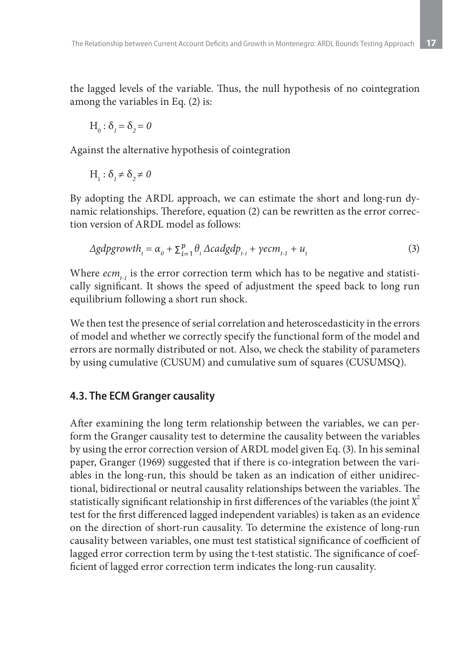the lagged levels of the variable. Thus, the null hypothesis of no cointegration among the variables in Eq. (2) is:

$$
H_0: \delta_1 = \delta_2 = 0
$$

Against the alternative hypothesis of cointegration

$$
H_1: \delta_1 \neq \delta_2 \neq 0
$$

By adopting the ARDL approach, we can estimate the short and long-run dynamic relationships. Therefore, equation (2) can be rewritten as the error correction version of ARDL model as follows:

$$
\Delta gdpgrowth_{t} = \alpha_{0} + \sum_{i=1}^{p} \theta_{i} \Delta cadgdp_{t-i} + \gamma ecm_{t-1} + u_{t}
$$
\n(3)

Where  $ecm_{i,j}$  is the error correction term which has to be negative and statistically significant. It shows the speed of adjustment the speed back to long run equilibrium following a short run shock.

We then test the presence of serial correlation and heteroscedasticity in the errors of model and whether we correctly specify the functional form of the model and errors are normally distributed or not. Also, we check the stability of parameters by using cumulative (CUSUM) and cumulative sum of squares (CUSUMSQ).

#### **4.3. The ECM Granger causality**

After examining the long term relationship between the variables, we can perform the Granger causality test to determine the causality between the variables by using the error correction version of ARDL model given Eq. (3). In his seminal paper, Granger (1969) suggested that if there is co-integration between the variables in the long-run, this should be taken as an indication of either unidirectional, bidirectional or neutral causality relationships between the variables. The statistically significant relationship in first differences of the variables (the joint  $\chi^2$ test for the first differenced lagged independent variables) is taken as an evidence on the direction of short-run causality. To determine the existence of long-run causality between variables, one must test statistical significance of coefficient of lagged error correction term by using the t-test statistic. The significance of coefficient of lagged error correction term indicates the long-run causality.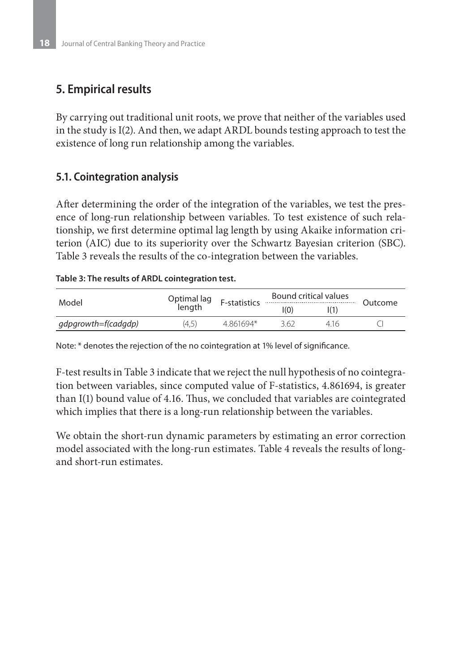## **5. Empirical results**

By carrying out traditional unit roots, we prove that neither of the variables used in the study is I(2). And then, we adapt ARDL bounds testing approach to test the existence of long run relationship among the variables.

## **5.1. Cointegration analysis**

After determining the order of the integration of the variables, we test the presence of long-run relationship between variables. To test existence of such relationship, we first determine optimal lag length by using Akaike information criterion (AIC) due to its superiority over the Schwartz Bayesian criterion (SBC). Table 3 reveals the results of the co-integration between the variables.

#### **Table 3: The results of ARDL cointegration test.**

| Model               | Optimal lag<br>์ length | F-statistics | Bound critical values | Outcome |  |
|---------------------|-------------------------|--------------|-----------------------|---------|--|
|                     |                         |              | I(0)                  |         |  |
| gdpgrowth=f(cadgdp) | (4,5)                   | 4861694*     | 362                   | 416     |  |

Note: \* denotes the rejection of the no cointegration at 1% level of significance.

F-test results in Table 3 indicate that we reject the null hypothesis of no cointegration between variables, since computed value of F-statistics, 4.861694, is greater than I(1) bound value of 4.16. Thus, we concluded that variables are cointegrated which implies that there is a long-run relationship between the variables.

We obtain the short-run dynamic parameters by estimating an error correction model associated with the long-run estimates. Table 4 reveals the results of longand short-run estimates.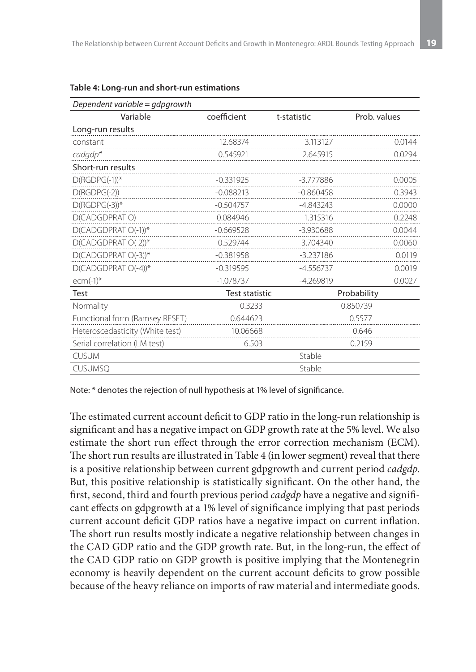| Dependent variable = $qdpqrowth$ |                |             |              |  |
|----------------------------------|----------------|-------------|--------------|--|
| Variable                         | coefficient    | t-statistic | Prob. values |  |
| Long-run results                 |                |             |              |  |
| constant                         | 12.68374       | 3.113127    | 0.0144       |  |
| cadgdp*                          | 0.545921       | 2.645915    | 0.0294       |  |
| Short-run results                |                |             |              |  |
| $D(RGDPG(-1))$ *                 | $-0.331925$    | -3.777886   | 0.0005       |  |
| $D(RGDPG(-2))$                   | $-0.088213$    | $-0.860458$ | 0.3943       |  |
| $D(RGDPG(-3))$ *                 | $-0.504757$    | -4.843243   | 0.0000       |  |
| D(CADGDPRATIO)                   | 0.084946       | 1.315316    | 0.2248       |  |
| D(CADGDPRATIO(-1))*              | $-0.669528$    | $-3.930688$ | 0.0044       |  |
| D(CADGDPRATIO(-2))*              | $-0.529744$    | $-3.704340$ | 0.0060       |  |
| D(CADGDPRATIO(-3))*              | $-0.381958$    | $-3.237186$ | 0.0119       |  |
| $D(CADGDPRATIO(-4))$ *           | $-0.319595$    | $-4.556737$ | 0.0019       |  |
| $ecm(-1)$ *                      | $-1.078737$    | $-4.269819$ | 0.0027       |  |
| Test                             | Test statistic |             | Probability  |  |
| Normality                        | 0.3233         |             | 0.850739     |  |
| Functional form (Ramsey RESET)   | 0.644623       |             | 0.5577       |  |
| Heteroscedasticity (White test)  | 10.06668       |             | 0.646        |  |
| Serial correlation (LM test)     | 6.503          |             | 0.2159       |  |
| <b>CUSUM</b>                     |                | Stable      |              |  |
| <b>CUSUMSQ</b>                   |                | Stable      |              |  |

#### **Table 4: Long-run and short-run estimations**

Note: \* denotes the rejection of null hypothesis at 1% level of significance.

The estimated current account deficit to GDP ratio in the long-run relationship is significant and has a negative impact on GDP growth rate at the 5% level. We also estimate the short run effect through the error correction mechanism (ECM). The short run results are illustrated in Table 4 (in lower segment) reveal that there is a positive relationship between current gdpgrowth and current period *cadgdp*. But, this positive relationship is statistically significant. On the other hand, the first, second, third and fourth previous period *cadgdp* have a negative and significant effects on gdpgrowth at a 1% level of significance implying that past periods current account deficit GDP ratios have a negative impact on current inflation. The short run results mostly indicate a negative relationship between changes in the CAD GDP ratio and the GDP growth rate. But, in the long-run, the effect of the CAD GDP ratio on GDP growth is positive implying that the Montenegrin economy is heavily dependent on the current account deficits to grow possible because of the heavy reliance on imports of raw material and intermediate goods.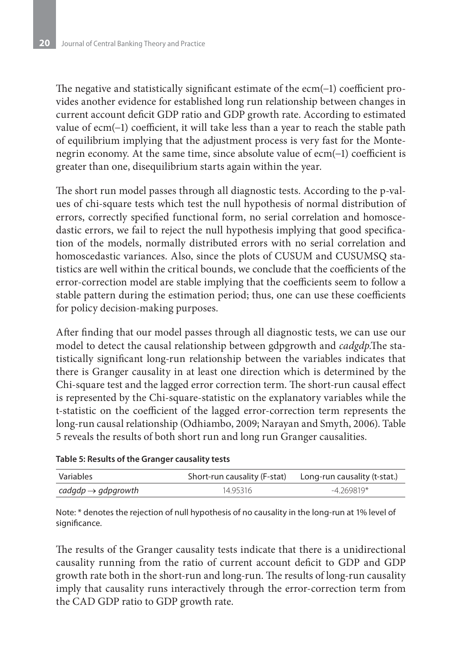The negative and statistically significant estimate of the ecm(−1) coefficient provides another evidence for established long run relationship between changes in current account deficit GDP ratio and GDP growth rate. According to estimated value of ecm(−1) coefficient, it will take less than a year to reach the stable path of equilibrium implying that the adjustment process is very fast for the Montenegrin economy. At the same time, since absolute value of ecm(−1) coefficient is greater than one, disequilibrium starts again within the year.

The short run model passes through all diagnostic tests. According to the p-values of chi-square tests which test the null hypothesis of normal distribution of errors, correctly specified functional form, no serial correlation and homoscedastic errors, we fail to reject the null hypothesis implying that good specification of the models, normally distributed errors with no serial correlation and homoscedastic variances. Also, since the plots of CUSUM and CUSUMSQ statistics are well within the critical bounds, we conclude that the coefficients of the error-correction model are stable implying that the coefficients seem to follow a stable pattern during the estimation period; thus, one can use these coefficients for policy decision-making purposes.

After finding that our model passes through all diagnostic tests, we can use our model to detect the causal relationship between gdpgrowth and *cadgdp*.The statistically significant long-run relationship between the variables indicates that there is Granger causality in at least one direction which is determined by the Chi-square test and the lagged error correction term. The short-run causal effect is represented by the Chi-square-statistic on the explanatory variables while the t-statistic on the coefficient of the lagged error-correction term represents the long-run causal relationship (Odhiambo, 2009; Narayan and Smyth, 2006). Table 5 reveals the results of both short run and long run Granger causalities.

#### **Table 5: Results of the Granger causality tests**

| Variables                      |          | Short-run causality (F-stat) Long-run causality (t-stat.) |
|--------------------------------|----------|-----------------------------------------------------------|
| cadgdp $\rightarrow$ gdpgrowth | 14.95316 | $-4.269819*$                                              |

Note: \* denotes the rejection of null hypothesis of no causality in the long-run at 1% level of significance.

The results of the Granger causality tests indicate that there is a unidirectional causality running from the ratio of current account deficit to GDP and GDP growth rate both in the short-run and long-run. The results of long-run causality imply that causality runs interactively through the error-correction term from the CAD GDP ratio to GDP growth rate.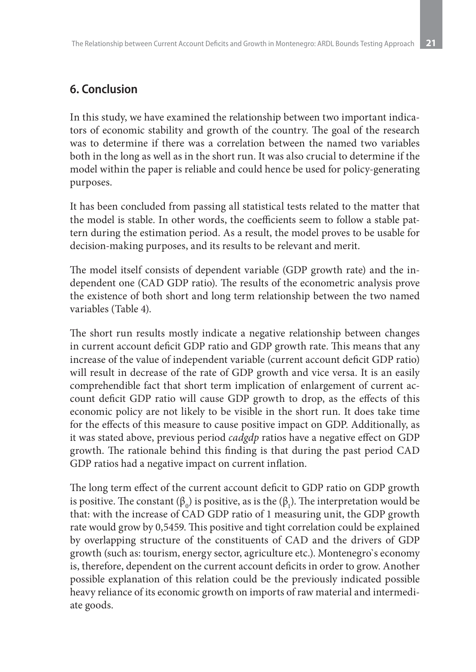## **6. Conclusion**

In this study, we have examined the relationship between two important indicators of economic stability and growth of the country. The goal of the research was to determine if there was a correlation between the named two variables both in the long as well as in the short run. It was also crucial to determine if the model within the paper is reliable and could hence be used for policy-generating purposes.

It has been concluded from passing all statistical tests related to the matter that the model is stable. In other words, the coefficients seem to follow a stable pattern during the estimation period. As a result, the model proves to be usable for decision-making purposes, and its results to be relevant and merit.

The model itself consists of dependent variable (GDP growth rate) and the independent one (CAD GDP ratio). The results of the econometric analysis prove the existence of both short and long term relationship between the two named variables (Table 4).

The short run results mostly indicate a negative relationship between changes in current account deficit GDP ratio and GDP growth rate. This means that any increase of the value of independent variable (current account deficit GDP ratio) will result in decrease of the rate of GDP growth and vice versa. It is an easily comprehendible fact that short term implication of enlargement of current account deficit GDP ratio will cause GDP growth to drop, as the effects of this economic policy are not likely to be visible in the short run. It does take time for the effects of this measure to cause positive impact on GDP. Additionally, as it was stated above, previous period *cadgdp* ratios have a negative effect on GDP growth. The rationale behind this finding is that during the past period CAD GDP ratios had a negative impact on current inflation.

The long term effect of the current account deficit to GDP ratio on GDP growth is positive. The constant ( $\beta_0$ ) is positive, as is the ( $\beta_1$ ). The interpretation would be that: with the increase of CAD GDP ratio of 1 measuring unit, the GDP growth rate would grow by 0,5459. This positive and tight correlation could be explained by overlapping structure of the constituents of CAD and the drivers of GDP growth (such as: tourism, energy sector, agriculture etc.). Montenegro`s economy is, therefore, dependent on the current account deficits in order to grow. Another possible explanation of this relation could be the previously indicated possible heavy reliance of its economic growth on imports of raw material and intermediate goods.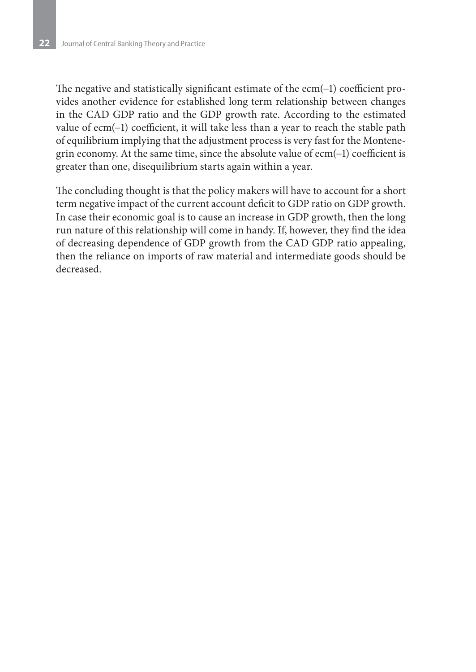The negative and statistically significant estimate of the ecm(−1) coefficient provides another evidence for established long term relationship between changes in the CAD GDP ratio and the GDP growth rate. According to the estimated value of ecm(−1) coefficient, it will take less than a year to reach the stable path of equilibrium implying that the adjustment process is very fast for the Montenegrin economy. At the same time, since the absolute value of ecm(−1) coefficient is greater than one, disequilibrium starts again within a year.

The concluding thought is that the policy makers will have to account for a short term negative impact of the current account deficit to GDP ratio on GDP growth. In case their economic goal is to cause an increase in GDP growth, then the long run nature of this relationship will come in handy. If, however, they find the idea of decreasing dependence of GDP growth from the CAD GDP ratio appealing, then the reliance on imports of raw material and intermediate goods should be decreased.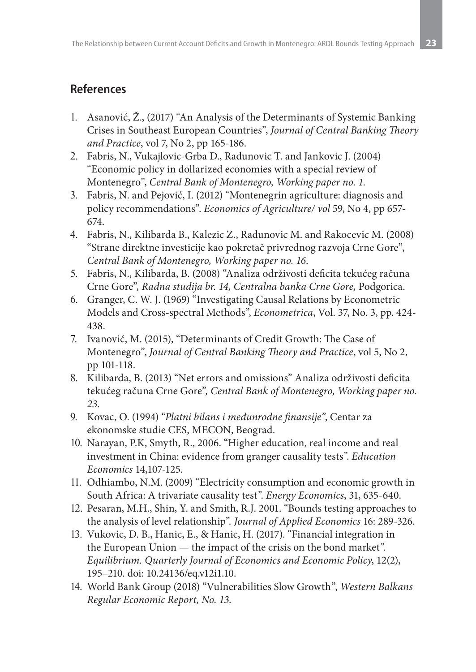## **References**

- 1. Asanović, Ž., (2017) "An Analysis of the Determinants of Systemic Banking Crises in Southeast European Countries", *Journal of Central Banking Theory and Practice*, vol 7, No 2, pp 165-186.
- 2. Fabris, N., Vukajlovic-Grba D., Radunovic T. and Jankovic J. (2004) "Economic policy in dollarized economies with a special review of Montenegro", *Central Bank of Montenegro, Working paper no. 1*.
- 3. Fabris, N. and Pejović, I. (2012) "Montenegrin agriculture: diagnosis and policy recommendations". *Economics of Agriculture/ vol* 59, No 4, pp 657- 674.
- 4. Fabris, N., Kilibarda B., Kalezic Z., Radunovic M. and Rakocevic M. (2008) "Strane direktne investicije kao pokretač privrednog razvoja Crne Gore", *Central Bank of Montenegro, Working paper no. 16*.
- 5. Fabris, N., Kilibarda, B. (2008) "Analiza održivosti deficita tekućeg računa Crne Gore"*, Radna studija br. 14, Centralna banka Crne Gore,* Podgorica.
- 6. Granger, C. W. J. (1969) "Investigating Causal Relations by Econometric Models and Cross-spectral Methods*"*, *Econometrica*, Vol. 37, No. 3, pp. 424- 438.
- 7. Ivanović, M. (2015), "Determinants of Credit Growth: The Case of Montenegro", *Journal of Central Banking Theory and Practice*, vol 5, No 2, pp 101-118.
- 8. Kilibarda, B. (2013) "Net errors and omissions" Analiza održivosti deficita tekućeg računa Crne Gore"*, Central Bank of Montenegro, Working paper no. 23*.
- 9. Kovac, O. (1994) "*Platni bilans i međunrodne finansije"*, Centar za ekonomske studie CES, MECON, Beograd.
- 10. Narayan, P.K, Smyth, R., 2006. "Higher education, real income and real investment in China: evidence from granger causality tests*"*. *Education Economics* 14,107-125.
- 11. Odhiambo, N.M. (2009) "Electricity consumption and economic growth in South Africa: A trivariate causality test*"*. *Energy Economics*, 31, 635-640.
- 12. Pesaran, M.H., Shin, Y. and Smith, R.J. 2001. "Bounds testing approaches to the analysis of level relationship"*. Journal of Applied Economics* 16: 289-326.
- 13. Vukovic, D. B., Hanic, E., & Hanic, H. (2017). "Financial integration in the European Union — the impact of the crisis on the bond market*". Equilibrium. Quarterly Journal of Economics and Economic Policy*, 12(2), 195–210. doi: 10.24136/eq.v12i1.10.
- 14. World Bank Group (2018) "Vulnerabilities Slow Growth", *Western Balkans Regular Economic Report, No. 13*.